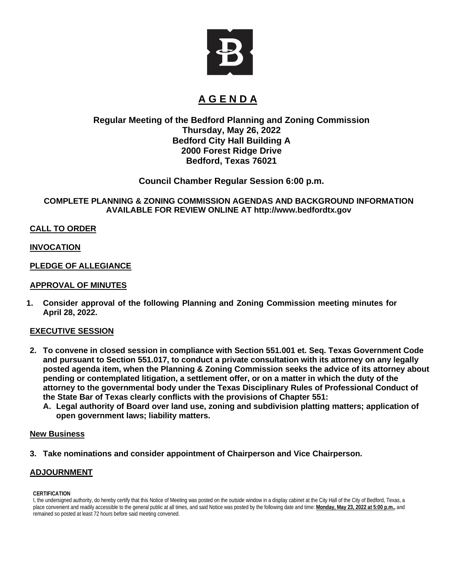

# **A G E N D A**

# **Regular Meeting of the Bedford Planning and Zoning Commission Thursday, May 26, 2022 Bedford City Hall Building A 2000 Forest Ridge Drive Bedford, Texas 76021**

# **Council Chamber Regular Session 6:00 p.m.**

#### **COMPLETE PLANNING & ZONING COMMISSION AGENDAS AND BACKGROUND INFORMATION AVAILABLE FOR REVIEW ONLINE AT [http://www.bedfordtx.gov](http://www.bedfordtx.gov/)**

### **CALL TO ORDER**

### **INVOCATION**

### **PLEDGE OF ALLEGIANCE**

#### **APPROVAL OF MINUTES**

**1. Consider approval of the following Planning and Zoning Commission meeting minutes for April 28, 2022.**

## **EXECUTIVE SESSION**

- **2. To convene in closed session in compliance with Section 551.001 et. Seq. Texas Government Code and pursuant to Section 551.017, to conduct a private consultation with its attorney on any legally posted agenda item, when the Planning & Zoning Commission seeks the advice of its attorney about pending or contemplated litigation, a settlement offer, or on a matter in which the duty of the attorney to the governmental body under the Texas Disciplinary Rules of Professional Conduct of the State Bar of Texas clearly conflicts with the provisions of Chapter 551:**
	- **A. Legal authority of Board over land use, zoning and subdivision platting matters; application of open government laws; liability matters.**

#### **New Business**

**3. Take nominations and consider appointment of Chairperson and Vice Chairperson.** 

#### **ADJOURNMENT**

#### **CERTIFICATION**

I, the undersigned authority, do hereby certify that this Notice of Meeting was posted on the outside window in a display cabinet at the City Hall of the City of Bedford, Texas, a place convenient and readily accessible to the general public at all times, and said Notice was posted by the following date and time: **Monday, May 23, 2022 at 5:00 p.m.,** and remained so posted at least 72 hours before said meeting convened.